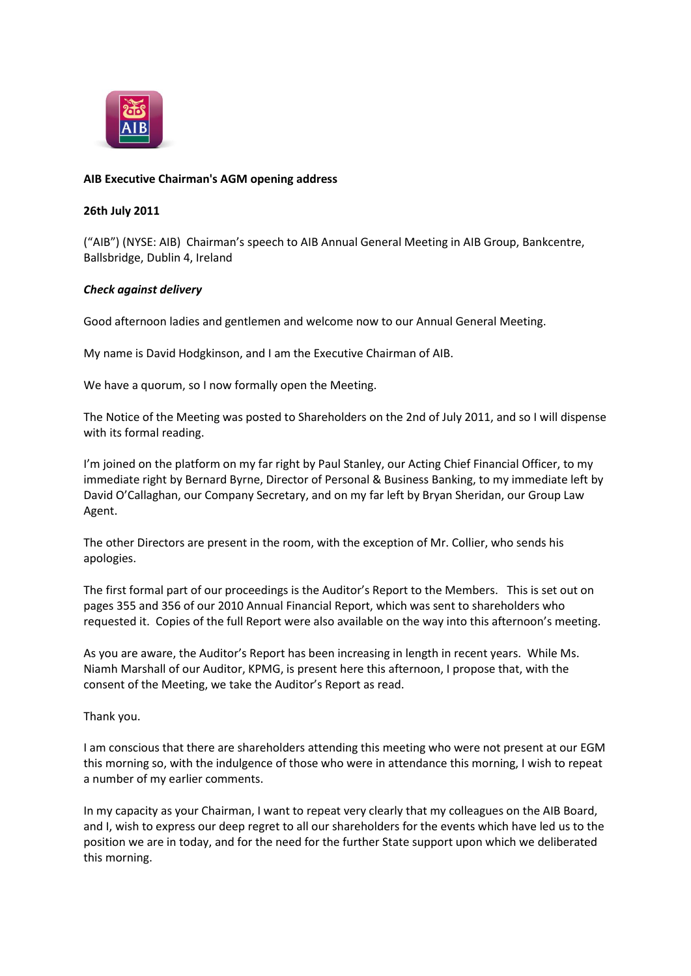

## **AIB Executive Chairman's AGM opening address**

## **26th July 2011**

("AIB") (NYSE: AIB) Chairman's speech to AIB Annual General Meeting in AIB Group, Bankcentre, Ballsbridge, Dublin 4, Ireland

## *Check against delivery*

Good afternoon ladies and gentlemen and welcome now to our Annual General Meeting.

My name is David Hodgkinson, and I am the Executive Chairman of AIB.

We have a quorum, so I now formally open the Meeting.

The Notice of the Meeting was posted to Shareholders on the 2nd of July 2011, and so I will dispense with its formal reading.

I'm joined on the platform on my far right by Paul Stanley, our Acting Chief Financial Officer, to my immediate right by Bernard Byrne, Director of Personal & Business Banking, to my immediate left by David O'Callaghan, our Company Secretary, and on my far left by Bryan Sheridan, our Group Law Agent.

The other Directors are present in the room, with the exception of Mr. Collier, who sends his apologies.

The first formal part of our proceedings is the Auditor's Report to the Members. This is set out on pages 355 and 356 of our 2010 Annual Financial Report, which was sent to shareholders who requested it. Copies of the full Report were also available on the way into this afternoon's meeting.

As you are aware, the Auditor's Report has been increasing in length in recent years. While Ms. Niamh Marshall of our Auditor, KPMG, is present here this afternoon, I propose that, with the consent of the Meeting, we take the Auditor's Report as read.

Thank you.

I am conscious that there are shareholders attending this meeting who were not present at our EGM this morning so, with the indulgence of those who were in attendance this morning, I wish to repeat a number of my earlier comments.

In my capacity as your Chairman, I want to repeat very clearly that my colleagues on the AIB Board, and I, wish to express our deep regret to all our shareholders for the events which have led us to the position we are in today, and for the need for the further State support upon which we deliberated this morning.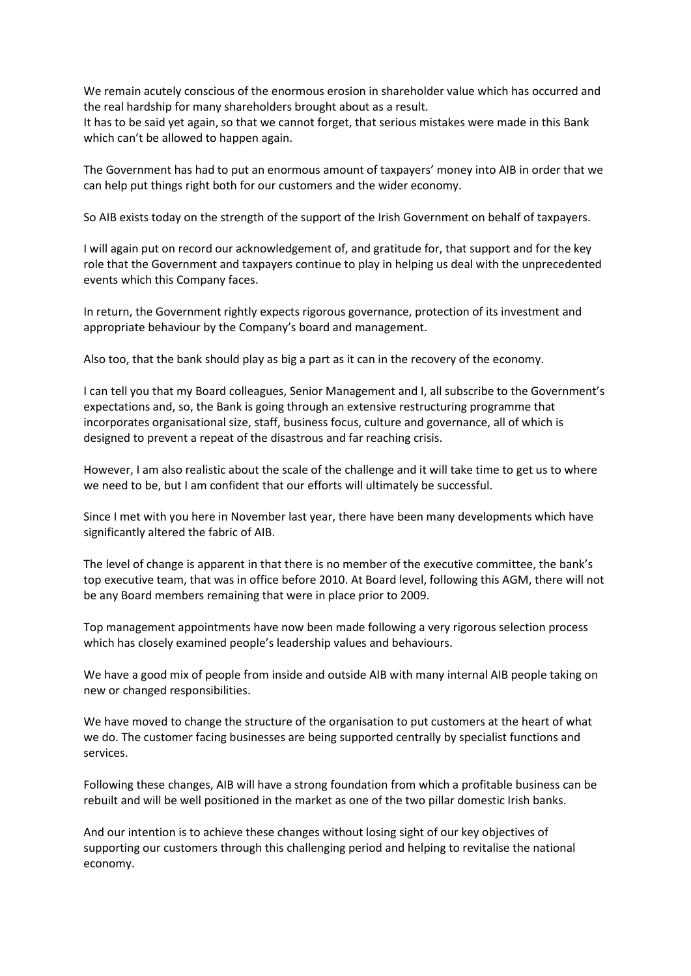We remain acutely conscious of the enormous erosion in shareholder value which has occurred and the real hardship for many shareholders brought about as a result.

It has to be said yet again, so that we cannot forget, that serious mistakes were made in this Bank which can't be allowed to happen again.

The Government has had to put an enormous amount of taxpayers' money into AIB in order that we can help put things right both for our customers and the wider economy.

So AIB exists today on the strength of the support of the Irish Government on behalf of taxpayers.

I will again put on record our acknowledgement of, and gratitude for, that support and for the key role that the Government and taxpayers continue to play in helping us deal with the unprecedented events which this Company faces.

In return, the Government rightly expects rigorous governance, protection of its investment and appropriate behaviour by the Company's board and management.

Also too, that the bank should play as big a part as it can in the recovery of the economy.

I can tell you that my Board colleagues, Senior Management and I, all subscribe to the Government's expectations and, so, the Bank is going through an extensive restructuring programme that incorporates organisational size, staff, business focus, culture and governance, all of which is designed to prevent a repeat of the disastrous and far reaching crisis.

However, I am also realistic about the scale of the challenge and it will take time to get us to where we need to be, but I am confident that our efforts will ultimately be successful.

Since I met with you here in November last year, there have been many developments which have significantly altered the fabric of AIB.

The level of change is apparent in that there is no member of the executive committee, the bank's top executive team, that was in office before 2010. At Board level, following this AGM, there will not be any Board members remaining that were in place prior to 2009.

Top management appointments have now been made following a very rigorous selection process which has closely examined people's leadership values and behaviours.

We have a good mix of people from inside and outside AIB with many internal AIB people taking on new or changed responsibilities.

We have moved to change the structure of the organisation to put customers at the heart of what we do. The customer facing businesses are being supported centrally by specialist functions and services.

Following these changes, AIB will have a strong foundation from which a profitable business can be rebuilt and will be well positioned in the market as one of the two pillar domestic Irish banks.

And our intention is to achieve these changes without losing sight of our key objectives of supporting our customers through this challenging period and helping to revitalise the national economy.